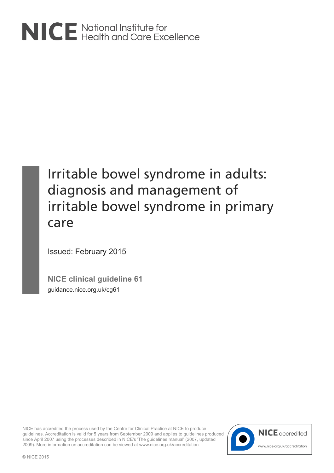# NICE National Institute for<br>NICE Health and Care Excellence

# Irritable bowel syndrome in adults: diagnosis and management of irritable bowel syndrome in primary care

Issued: February 2015

**NICE clinical guideline 61** guidance.nice.org.uk/cg61

NICE has accredited the process used by the Centre for Clinical Practice at NICE to produce guidelines. Accreditation is valid for 5 years from September 2009 and applies to guidelines produced since April 2007 using the processes described in NICE's 'The guidelines manual' (2007, updated 2009). More information on accreditation can be viewed at www.nice.org.uk/accreditation

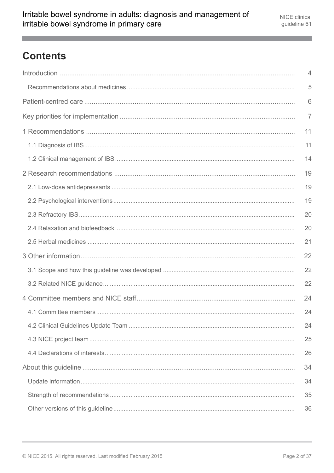# **Contents**

| 4              |
|----------------|
| 5              |
| 6              |
| $\overline{7}$ |
| 11             |
| 11             |
| 14             |
| 19             |
| 19             |
| 19             |
| 20             |
| 20             |
| 21             |
| 22             |
| 22             |
| 22             |
| 24             |
| 24             |
| 24             |
| 25             |
| 26             |
| 34             |
| 34             |
| 35             |
|                |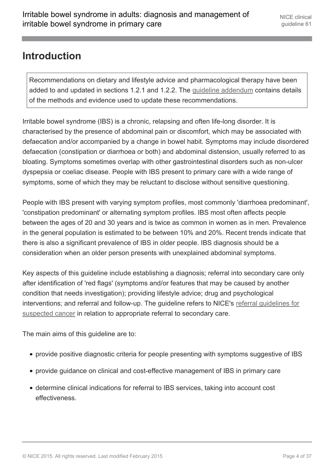### <span id="page-3-0"></span>**Introduction**

Recommendations on dietary and lifestyle advice and pharmacological therapy have been added to and updated in sections 1.2.1 and 1.2.2. The [guideline addendum](http://www.nice.org.uk/Guidance/CG61/Evidence) contains details of the methods and evidence used to update these recommendations.

Irritable bowel syndrome (IBS) is a chronic, relapsing and often life-long disorder. It is characterised by the presence of abdominal pain or discomfort, which may be associated with defaecation and/or accompanied by a change in bowel habit. Symptoms may include disordered defaecation (constipation or diarrhoea or both) and abdominal distension, usually referred to as bloating. Symptoms sometimes overlap with other gastrointestinal disorders such as non-ulcer dyspepsia or coeliac disease. People with IBS present to primary care with a wide range of symptoms, some of which they may be reluctant to disclose without sensitive questioning.

People with IBS present with varying symptom profiles, most commonly 'diarrhoea predominant', 'constipation predominant' or alternating symptom profiles. IBS most often affects people between the ages of 20 and 30 years and is twice as common in women as in men. Prevalence in the general population is estimated to be between 10% and 20%. Recent trends indicate that there is also a significant prevalence of IBS in older people. IBS diagnosis should be a consideration when an older person presents with unexplained abdominal symptoms.

Key aspects of this guideline include establishing a diagnosis; referral into secondary care only after identification of 'red flags' (symptoms and/or features that may be caused by another condition that needs investigation); providing lifestyle advice; drug and psychological interventions; and referral and follow-up. The guideline refers to NICE's [referral guidelines for](http://www.nice.org.uk/guidance/CG27) [suspected cancer](http://www.nice.org.uk/guidance/CG27) in relation to appropriate referral to secondary care.

The main aims of this guideline are to:

- provide positive diagnostic criteria for people presenting with symptoms suggestive of IBS
- provide guidance on clinical and cost-effective management of IBS in primary care
- determine clinical indications for referral to IBS services, taking into account cost effectiveness.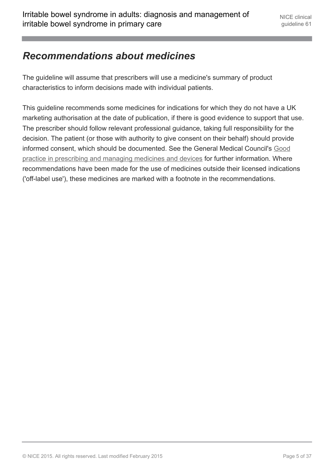# <span id="page-4-0"></span>*Recommendations about medicines*

The guideline will assume that prescribers will use a medicine's summary of product characteristics to inform decisions made with individual patients.

This guideline recommends some medicines for indications for which they do not have a UK marketing authorisation at the date of publication, if there is good evidence to support that use. The prescriber should follow relevant professional guidance, taking full responsibility for the decision. The patient (or those with authority to give consent on their behalf) should provide informed consent, which should be documented. See the General Medical Council's [Good](http://www.gmc-uk.org/guidance/ethical_guidance/14327.asp) [practice in prescribing and managing medicines and devices](http://www.gmc-uk.org/guidance/ethical_guidance/14327.asp) for further information. Where recommendations have been made for the use of medicines outside their licensed indications ('off-label use'), these medicines are marked with a footnote in the recommendations.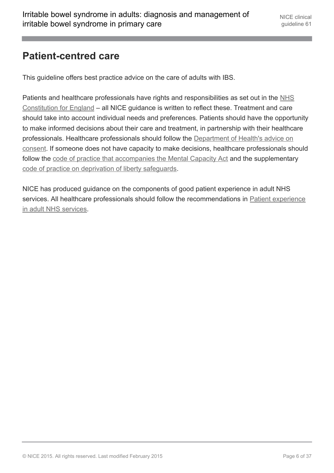# <span id="page-5-0"></span>**Patient-centred care**

This guideline offers best practice advice on the care of adults with IBS.

Patients and healthcare professionals have rights and responsibilities as set out in the [NHS](https://www.gov.uk/government/publications/the-nhs-constitution-for-england) [Constitution for England](https://www.gov.uk/government/publications/the-nhs-constitution-for-england) – all NICE guidance is written to reflect these. Treatment and care should take into account individual needs and preferences. Patients should have the opportunity to make informed decisions about their care and treatment, in partnership with their healthcare professionals. Healthcare professionals should follow the [Department of Health's advice on](https://www.gov.uk/government/publications/reference-guide-to-consent-for-examination-or-treatment-second-edition) [consent](https://www.gov.uk/government/publications/reference-guide-to-consent-for-examination-or-treatment-second-edition). If someone does not have capacity to make decisions, healthcare professionals should follow the [code of practice that accompanies the Mental Capacity Act](http://www.justice.gov.uk/protecting-the-vulnerable/mental-capacity-act) and the supplementary [code of practice on deprivation of liberty safeguards.](http://webarchive.nationalarchives.gov.uk/20130107105354/http:/www.dh.gov.uk/en/Publicationsandstatistics/Publications/PublicationsPolicyAndGuidance/DH_085476)

NICE has produced guidance on the components of good patient experience in adult NHS services. All healthcare professionals should follow the recommendations in [Patient experience](http://guidance.nice.org.uk/CG138) [in adult NHS services.](http://guidance.nice.org.uk/CG138)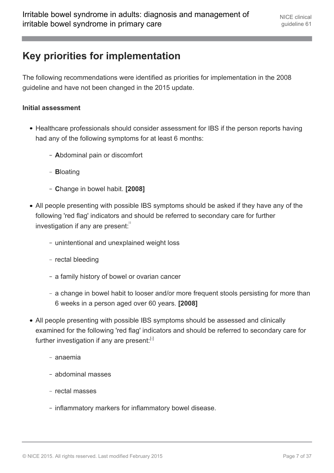# <span id="page-6-0"></span>**Key priorities for implementation**

The following recommendations were identified as priorities for implementation in the 2008 guideline and have not been changed in the 2015 update.

#### **Initial assessment**

- Healthcare professionals should consider assessment for IBS if the person reports having had any of the following symptoms for at least 6 months:
	- **A**bdominal pain or discomfort
	- **B**loating
	- **C**hange in bowel habit. **[2008]**
- <span id="page-6-1"></span>All people presenting with possible IBS symptoms should be asked if they have any of the following 'red flag' indicators and should be referred to secondary care for further investigation if any are present: $\frac{1}{1}$  $\frac{1}{1}$  $\frac{1}{1}$ 
	- unintentional and unexplained weight loss
	- rectal bleeding
	- a family history of bowel or ovarian cancer
	- a change in bowel habit to looser and/or more frequent stools persisting for more than 6 weeks in a person aged over 60 years. **[2008]**
- All people presenting with possible IBS symptoms should be assessed and clinically examined for the following 'red flag' indicators and should be referred to secondary care for further investigation if any are present: $[1]$  $[1]$  $[1]$ 
	- anaemia
	- abdominal masses
	- rectal masses
	- inflammatory markers for inflammatory bowel disease.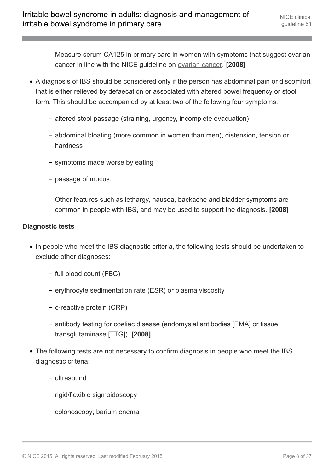Measure serum CA125 in primary care in women with symptoms that suggest ovarian cancer in line with the NICE guideline on **[ovarian cancer.](http://www.nice.org.uk/guidance/CG122)**<sup>8</sup>[[2](#page-8-1)008]

- <span id="page-7-0"></span>A diagnosis of IBS should be considered only if the person has abdominal pain or discomfort that is either relieved by defaecation or associated with altered bowel frequency or stool form. This should be accompanied by at least two of the following four symptoms:
	- altered stool passage (straining, urgency, incomplete evacuation)
	- abdominal bloating (more common in women than men), distension, tension or hardness
	- symptoms made worse by eating
	- passage of mucus.

Other features such as lethargy, nausea, backache and bladder symptoms are common in people with IBS, and may be used to support the diagnosis. **[2008]**

#### **Diagnostic tests**

- In people who meet the IBS diagnostic criteria, the following tests should be undertaken to exclude other diagnoses:
	- full blood count (FBC)
	- erythrocyte sedimentation rate (ESR) or plasma viscosity
	- c-reactive protein (CRP)
	- antibody testing for coeliac disease (endomysial antibodies [EMA] or tissue transglutaminase [TTG]). **[2008]**
- The following tests are not necessary to confirm diagnosis in people who meet the IBS diagnostic criteria:
	- ultrasound
	- rigid/flexible sigmoidoscopy
	- colonoscopy; barium enema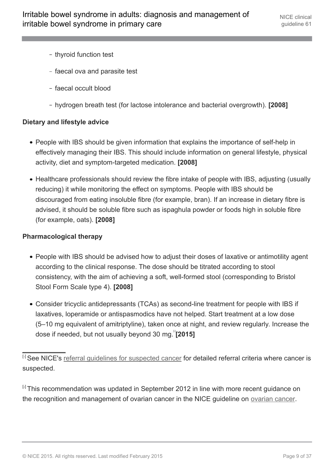- thyroid function test
- faecal ova and parasite test
- faecal occult blood
- hydrogen breath test (for lactose intolerance and bacterial overgrowth). **[2008]**

#### **Dietary and lifestyle advice**

- People with IBS should be given information that explains the importance of self-help in effectively managing their IBS. This should include information on general lifestyle, physical activity, diet and symptom-targeted medication. **[2008]**
- Healthcare professionals should review the fibre intake of people with IBS, adjusting (usually reducing) it while monitoring the effect on symptoms. People with IBS should be discouraged from eating insoluble fibre (for example, bran). If an increase in dietary fibre is advised, it should be soluble fibre such as ispaghula powder or foods high in soluble fibre (for example, oats). **[2008]**

#### **Pharmacological therapy**

- People with IBS should be advised how to adjust their doses of laxative or antimotility agent according to the clinical response. The dose should be titrated according to stool consistency, with the aim of achieving a soft, well-formed stool (corresponding to Bristol Stool Form Scale type 4). **[2008]**
- Consider tricyclic antidepressants (TCAs) as second-line treatment for people with IBS if laxatives, loperamide or antispasmodics have not helped. Start treatment at a low dose (5–10 mg equivalent of amitriptyline), taken once at night, and review regularly. Increase the dose if needed, but not usually beyond [3](#page-9-0)0 mg. <sup>"</sup>[2015]

<span id="page-8-1"></span><sup>[[2](#page-7-0)]</sup> This recommendation was updated in September 2012 in line with more recent guidance on the recognition and management of ovarian cancer in the NICE guideline on [ovarian cancer.](http://www.nice.org.uk/guidance/CG122)

<span id="page-8-2"></span><span id="page-8-0"></span><sup>[</sup>[1](#page-6-1)] See NICE's referral quidelines for suspected cancer for detailed referral criteria where cancer is suspected.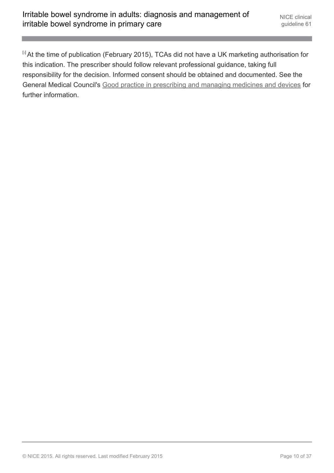<span id="page-9-0"></span>[[3](#page-8-2)] At the time of publication (February 2015), TCAs did not have a UK marketing authorisation for this indication. The prescriber should follow relevant professional guidance, taking full responsibility for the decision. Informed consent should be obtained and documented. See the General Medical Council's [Good practice in prescribing and managing medicines and devices](http://www.gmc-uk.org/guidance/ethical_guidance/14327.asp) for further information.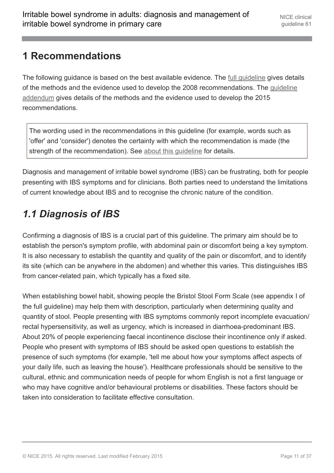### <span id="page-10-0"></span>**1 Recommendations**

The following guidance is based on the best available evidence. The [full guideline](http://www.nice.org.uk/Guidance/CG61/Evidence) gives details of the methods and the evidence used to develop the 2008 recommendations. The [guideline](http://www.nice.org.uk/Guidance/CG61/Evidence) [addendum](http://www.nice.org.uk/Guidance/CG61/Evidence) gives details of the methods and the evidence used to develop the 2015 recommendations.

The wording used in the recommendations in this guideline (for example, words such as 'offer' and 'consider') denotes the certainty with which the recommendation is made (the strength of the recommendation). See [about this guideline](http://publications.nice.org.uk/irritable-bowel-syndrome-in-adults-diagnosis-and-management-of-irritable-bowel-syndrome-in-primary-cg61/about-this-guideline) for details.

Diagnosis and management of irritable bowel syndrome (IBS) can be frustrating, both for people presenting with IBS symptoms and for clinicians. Both parties need to understand the limitations of current knowledge about IBS and to recognise the chronic nature of the condition.

# <span id="page-10-1"></span>*1.1 Diagnosis of IBS*

Confirming a diagnosis of IBS is a crucial part of this guideline. The primary aim should be to establish the person's symptom profile, with abdominal pain or discomfort being a key symptom. It is also necessary to establish the quantity and quality of the pain or discomfort, and to identify its site (which can be anywhere in the abdomen) and whether this varies. This distinguishes IBS from cancer-related pain, which typically has a fixed site.

When establishing bowel habit, showing people the Bristol Stool Form Scale (see appendix I of the full guideline) may help them with description, particularly when determining quality and quantity of stool. People presenting with IBS symptoms commonly report incomplete evacuation/ rectal hypersensitivity, as well as urgency, which is increased in diarrhoea-predominant IBS. About 20% of people experiencing faecal incontinence disclose their incontinence only if asked. People who present with symptoms of IBS should be asked open questions to establish the presence of such symptoms (for example, 'tell me about how your symptoms affect aspects of your daily life, such as leaving the house'). Healthcare professionals should be sensitive to the cultural, ethnic and communication needs of people for whom English is not a first language or who may have cognitive and/or behavioural problems or disabilities. These factors should be taken into consideration to facilitate effective consultation.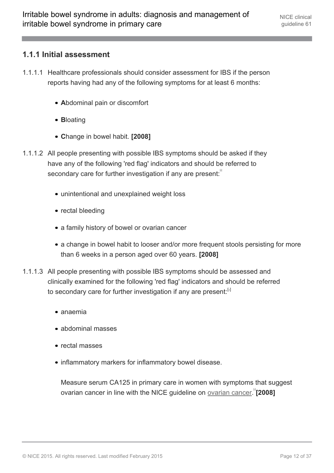#### **1.1.1 Initial assessment**

- 1.1.1.1 Healthcare professionals should consider assessment for IBS if the person reports having had any of the following symptoms for at least 6 months:
	- **A**bdominal pain or discomfort
	- **B**loating
	- **C**hange in bowel habit. **[2008]**
- <span id="page-11-0"></span>1.1.1.2 All people presenting with possible IBS symptoms should be asked if they have any of the following 'red flag' indicators and should be referred to secondary care for further investigation if any are present:
	- unintentional and unexplained weight loss
	- rectal bleeding
	- a family history of bowel or ovarian cancer
	- a change in bowel habit to looser and/or more frequent stools persisting for more than 6 weeks in a person aged over 60 years. **[2008]**
- 1.1.1.3 All people presenting with possible IBS symptoms should be assessed and clinically examined for the following 'red flag' indicators and should be referred to secondary care for further investigation if any are present: [[4](#page-16-0)]
	- anaemia
	- abdominal masses
	- rectal masses
	- inflammatory markers for inflammatory bowel disease.

<span id="page-11-1"></span>Measure serum CA125 in primary care in women with symptoms that suggest ovarian cancer in line with the NICE guideline on **[ovarian cancer.](http://www.nice.org.uk/guidance/CG122)**<sup>[8</sup>] [2008]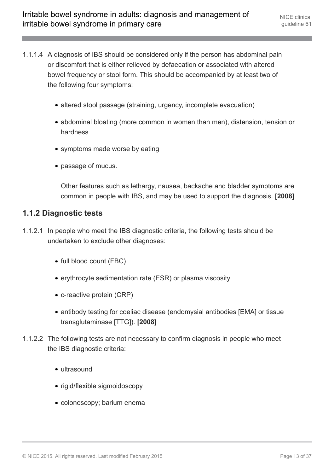- 1.1.1.4 A diagnosis of IBS should be considered only if the person has abdominal pain or discomfort that is either relieved by defaecation or associated with altered bowel frequency or stool form. This should be accompanied by at least two of the following four symptoms:
	- altered stool passage (straining, urgency, incomplete evacuation)
	- abdominal bloating (more common in women than men), distension, tension or hardness
	- symptoms made worse by eating
	- passage of mucus.

Other features such as lethargy, nausea, backache and bladder symptoms are common in people with IBS, and may be used to support the diagnosis. **[2008]**

#### **1.1.2 Diagnostic tests**

- 1.1.2.1 In people who meet the IBS diagnostic criteria, the following tests should be undertaken to exclude other diagnoses:
	- full blood count (FBC)
	- erythrocyte sedimentation rate (ESR) or plasma viscosity
	- c-reactive protein (CRP)
	- antibody testing for coeliac disease (endomysial antibodies [EMA] or tissue transglutaminase [TTG]). **[2008]**
- 1.1.2.2 The following tests are not necessary to confirm diagnosis in people who meet the IBS diagnostic criteria:
	- ultrasound
	- rigid/flexible sigmoidoscopy
	- colonoscopy; barium enema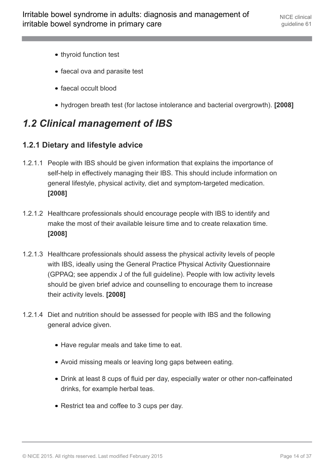- thyroid function test
- faecal ova and parasite test
- faecal occult blood
- hydrogen breath test (for lactose intolerance and bacterial overgrowth). **[2008]**

# <span id="page-13-0"></span>*1.2 Clinical management of IBS*

#### **1.2.1 Dietary and lifestyle advice**

- 1.2.1.1 People with IBS should be given information that explains the importance of self-help in effectively managing their IBS. This should include information on general lifestyle, physical activity, diet and symptom-targeted medication. **[2008]**
- 1.2.1.2 Healthcare professionals should encourage people with IBS to identify and make the most of their available leisure time and to create relaxation time. **[2008]**
- 1.2.1.3 Healthcare professionals should assess the physical activity levels of people with IBS, ideally using the General Practice Physical Activity Questionnaire (GPPAQ; see appendix J of the full guideline). People with low activity levels should be given brief advice and counselling to encourage them to increase their activity levels. **[2008]**
- 1.2.1.4 Diet and nutrition should be assessed for people with IBS and the following general advice given.
	- Have regular meals and take time to eat.
	- Avoid missing meals or leaving long gaps between eating.
	- Drink at least 8 cups of fluid per day, especially water or other non-caffeinated drinks, for example herbal teas.
	- Restrict tea and coffee to 3 cups per day.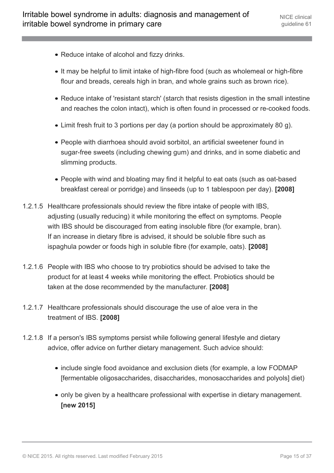- Reduce intake of alcohol and fizzy drinks.
- It may be helpful to limit intake of high-fibre food (such as wholemeal or high-fibre flour and breads, cereals high in bran, and whole grains such as brown rice).
- Reduce intake of 'resistant starch' (starch that resists digestion in the small intestine and reaches the colon intact), which is often found in processed or re-cooked foods.
- Limit fresh fruit to 3 portions per day (a portion should be approximately 80 g).
- People with diarrhoea should avoid sorbitol, an artificial sweetener found in sugar-free sweets (including chewing gum) and drinks, and in some diabetic and slimming products.
- People with wind and bloating may find it helpful to eat oats (such as oat-based breakfast cereal or porridge) and linseeds (up to 1 tablespoon per day). **[2008]**
- 1.2.1.5 Healthcare professionals should review the fibre intake of people with IBS, adjusting (usually reducing) it while monitoring the effect on symptoms. People with IBS should be discouraged from eating insoluble fibre (for example, bran). If an increase in dietary fibre is advised, it should be soluble fibre such as ispaghula powder or foods high in soluble fibre (for example, oats). **[2008]**
- 1.2.1.6 People with IBS who choose to try probiotics should be advised to take the product for at least 4 weeks while monitoring the effect. Probiotics should be taken at the dose recommended by the manufacturer. **[2008]**
- 1.2.1.7 Healthcare professionals should discourage the use of aloe vera in the treatment of IBS. **[2008]**
- 1.2.1.8 If a person's IBS symptoms persist while following general lifestyle and dietary advice, offer advice on further dietary management. Such advice should:
	- include single food avoidance and exclusion diets (for example, a low FODMAP [fermentable oligosaccharides, disaccharides, monosaccharides and polyols] diet)
	- only be given by a healthcare professional with expertise in dietary management. **[new 2015]**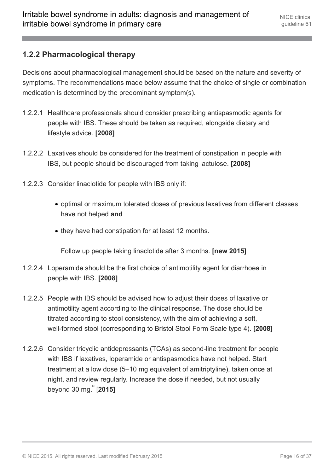#### **1.2.2 Pharmacological therapy**

Decisions about pharmacological management should be based on the nature and severity of symptoms. The recommendations made below assume that the choice of single or combination medication is determined by the predominant symptom(s).

- 1.2.2.1 Healthcare professionals should consider prescribing antispasmodic agents for people with IBS. These should be taken as required, alongside dietary and lifestyle advice. **[2008]**
- 1.2.2.2 Laxatives should be considered for the treatment of constipation in people with IBS, but people should be discouraged from taking lactulose. **[2008]**
- 1.2.2.3 Consider linaclotide for people with IBS only if:
	- optimal or maximum tolerated doses of previous laxatives from different classes have not helped **and**
	- they have had constipation for at least 12 months.

Follow up people taking linaclotide after 3 months. **[new 2015]**

- 1.2.2.4 Loperamide should be the first choice of antimotility agent for diarrhoea in people with IBS. **[2008]**
- 1.2.2.5 People with IBS should be advised how to adjust their doses of laxative or antimotility agent according to the clinical response. The dose should be titrated according to stool consistency, with the aim of achieving a soft, well-formed stool (corresponding to Bristol Stool Form Scale type 4). **[2008]**
- <span id="page-15-0"></span>1.2.2.6 Consider tricyclic antidepressants (TCAs) as second-line treatment for people with IBS if laxatives, loperamide or antispasmodics have not helped. Start treatment at a low dose (5–10 mg equivalent of amitriptyline), taken once at night, and review regularly. Increase the dose if needed, but not usually beyond 30 mg. [[6](#page-17-1)] [**2015]**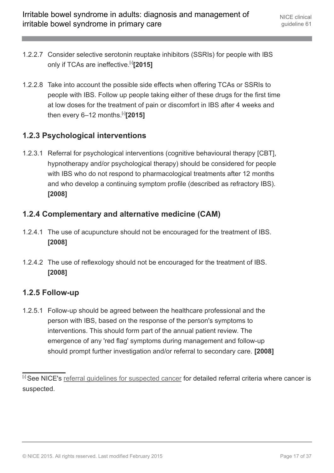- 1.2.2.7 Consider selective serotonin reuptake inhibitors (SSRIs) for people with IBS only if TCAs are ineffective.[[6](#page-17-1)] **[2015]**
- 1.2.2.8 Take into account the possible side effects when offering TCAs or SSRIs to people with IBS. Follow up people taking either of these drugs for the first time at low doses for the treatment of pain or discomfort in IBS after 4 weeks and then every 6–12 months.[[6](#page-17-1)] **[2015]**

#### **1.2.3 Psychological interventions**

1.2.3.1 Referral for psychological interventions (cognitive behavioural therapy [CBT], hypnotherapy and/or psychological therapy) should be considered for people with IBS who do not respond to pharmacological treatments after 12 months and who develop a continuing symptom profile (described as refractory IBS). **[2008]**

#### **1.2.4 Complementary and alternative medicine (CAM)**

- 1.2.4.1 The use of acupuncture should not be encouraged for the treatment of IBS. **[2008]**
- 1.2.4.2 The use of reflexology should not be encouraged for the treatment of IBS. **[2008]**

#### **1.2.5 Follow-up**

1.2.5.1 Follow-up should be agreed between the healthcare professional and the person with IBS, based on the response of the person's symptoms to interventions. This should form part of the annual patient review. The emergence of any 'red flag' symptoms during management and follow-up should prompt further investigation and/or referral to secondary care. **[2008]**

<span id="page-16-0"></span><sup>[</sup>[4](#page-11-0)] See NICE's referral quidelines for suspected cancer for detailed referral criteria where cancer is suspected.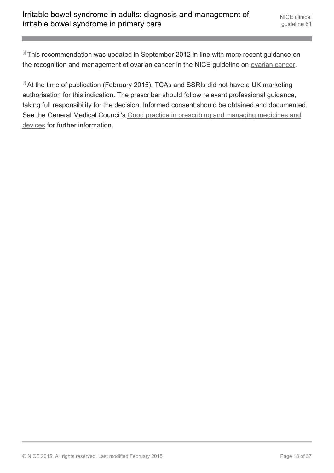<span id="page-17-0"></span><sup>[6]</sup> This recommendation was updated in September 2012 in line with more recent guidance on the recognition and management of ovarian cancer in the NICE guideline on [ovarian cancer.](http://www.nice.org.uk/guidance/CG122)

<span id="page-17-1"></span><sup>[[6](#page-15-0)]</sup> At the time of publication (February 2015), TCAs and SSRIs did not have a UK marketing authorisation for this indication. The prescriber should follow relevant professional guidance, taking full responsibility for the decision. Informed consent should be obtained and documented. See the General Medical Council's [Good practice in prescribing and managing medicines and](http://www.gmc-uk.org/guidance/ethical_guidance/14327.asp) [devices](http://www.gmc-uk.org/guidance/ethical_guidance/14327.asp) for further information.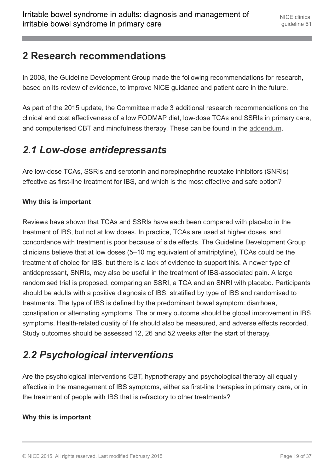### <span id="page-18-0"></span>**2 Research recommendations**

In 2008, the Guideline Development Group made the following recommendations for research, based on its review of evidence, to improve NICE guidance and patient care in the future.

As part of the 2015 update, the Committee made 3 additional research recommendations on the clinical and cost effectiveness of a low FODMAP diet, low-dose TCAs and SSRIs in primary care, and computerised CBT and mindfulness therapy. These can be found in the [addendum](http://www.nice.org.uk/Guidance/CG61/Evidence).

# <span id="page-18-1"></span>*2.1 Low-dose antidepressants*

Are low-dose TCAs, SSRIs and serotonin and norepinephrine reuptake inhibitors (SNRIs) effective as first-line treatment for IBS, and which is the most effective and safe option?

#### **Why this is important**

Reviews have shown that TCAs and SSRIs have each been compared with placebo in the treatment of IBS, but not at low doses. In practice, TCAs are used at higher doses, and concordance with treatment is poor because of side effects. The Guideline Development Group clinicians believe that at low doses (5–10 mg equivalent of amitriptyline), TCAs could be the treatment of choice for IBS, but there is a lack of evidence to support this. A newer type of antidepressant, SNRIs, may also be useful in the treatment of IBS-associated pain. A large randomised trial is proposed, comparing an SSRI, a TCA and an SNRI with placebo. Participants should be adults with a positive diagnosis of IBS, stratified by type of IBS and randomised to treatments. The type of IBS is defined by the predominant bowel symptom: diarrhoea, constipation or alternating symptoms. The primary outcome should be global improvement in IBS symptoms. Health-related quality of life should also be measured, and adverse effects recorded. Study outcomes should be assessed 12, 26 and 52 weeks after the start of therapy.

# <span id="page-18-2"></span>*2.2 Psychological interventions*

Are the psychological interventions CBT, hypnotherapy and psychological therapy all equally effective in the management of IBS symptoms, either as first-line therapies in primary care, or in the treatment of people with IBS that is refractory to other treatments?

#### **Why this is important**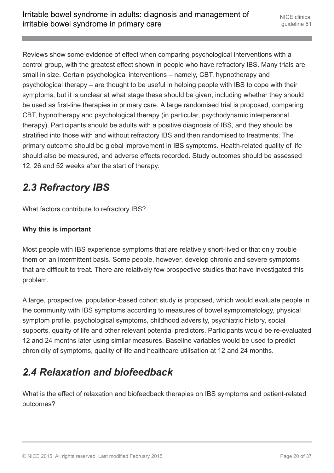Reviews show some evidence of effect when comparing psychological interventions with a control group, with the greatest effect shown in people who have refractory IBS. Many trials are small in size. Certain psychological interventions – namely, CBT, hypnotherapy and psychological therapy – are thought to be useful in helping people with IBS to cope with their symptoms, but it is unclear at what stage these should be given, including whether they should be used as first-line therapies in primary care. A large randomised trial is proposed, comparing CBT, hypnotherapy and psychological therapy (in particular, psychodynamic interpersonal therapy). Participants should be adults with a positive diagnosis of IBS, and they should be stratified into those with and without refractory IBS and then randomised to treatments. The primary outcome should be global improvement in IBS symptoms. Health-related quality of life should also be measured, and adverse effects recorded. Study outcomes should be assessed 12, 26 and 52 weeks after the start of therapy.

# <span id="page-19-0"></span>*2.3 Refractory IBS*

What factors contribute to refractory IBS?

#### **Why this is important**

Most people with IBS experience symptoms that are relatively short-lived or that only trouble them on an intermittent basis. Some people, however, develop chronic and severe symptoms that are difficult to treat. There are relatively few prospective studies that have investigated this problem.

A large, prospective, population-based cohort study is proposed, which would evaluate people in the community with IBS symptoms according to measures of bowel symptomatology, physical symptom profile, psychological symptoms, childhood adversity, psychiatric history, social supports, quality of life and other relevant potential predictors. Participants would be re-evaluated 12 and 24 months later using similar measures. Baseline variables would be used to predict chronicity of symptoms, quality of life and healthcare utilisation at 12 and 24 months.

# <span id="page-19-1"></span>*2.4 Relaxation and biofeedback*

What is the effect of relaxation and biofeedback therapies on IBS symptoms and patient-related outcomes?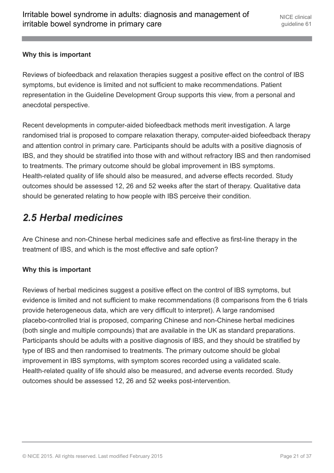#### **Why this is important**

Reviews of biofeedback and relaxation therapies suggest a positive effect on the control of IBS symptoms, but evidence is limited and not sufficient to make recommendations. Patient representation in the Guideline Development Group supports this view, from a personal and anecdotal perspective.

Recent developments in computer-aided biofeedback methods merit investigation. A large randomised trial is proposed to compare relaxation therapy, computer-aided biofeedback therapy and attention control in primary care. Participants should be adults with a positive diagnosis of IBS, and they should be stratified into those with and without refractory IBS and then randomised to treatments. The primary outcome should be global improvement in IBS symptoms. Health-related quality of life should also be measured, and adverse effects recorded. Study outcomes should be assessed 12, 26 and 52 weeks after the start of therapy. Qualitative data should be generated relating to how people with IBS perceive their condition.

# <span id="page-20-0"></span>*2.5 Herbal medicines*

Are Chinese and non-Chinese herbal medicines safe and effective as first-line therapy in the treatment of IBS, and which is the most effective and safe option?

#### **Why this is important**

Reviews of herbal medicines suggest a positive effect on the control of IBS symptoms, but evidence is limited and not sufficient to make recommendations (8 comparisons from the 6 trials provide heterogeneous data, which are very difficult to interpret). A large randomised placebo-controlled trial is proposed, comparing Chinese and non-Chinese herbal medicines (both single and multiple compounds) that are available in the UK as standard preparations. Participants should be adults with a positive diagnosis of IBS, and they should be stratified by type of IBS and then randomised to treatments. The primary outcome should be global improvement in IBS symptoms, with symptom scores recorded using a validated scale. Health-related quality of life should also be measured, and adverse events recorded. Study outcomes should be assessed 12, 26 and 52 weeks post-intervention.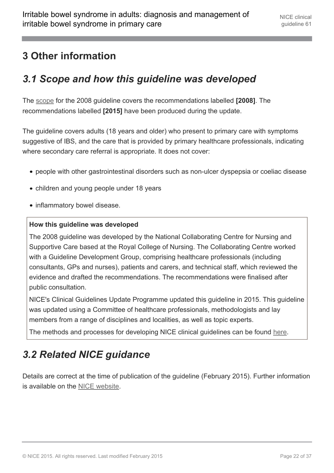# <span id="page-21-0"></span>**3 Other information**

# <span id="page-21-1"></span>*3.1 Scope and how this guideline was developed*

The [scope](http://www.nice.org.uk/guidance/cg61/documents) for the 2008 guideline covers the recommendations labelled **[2008]**. The recommendations labelled **[2015]** have been produced during the update.

The guideline covers adults (18 years and older) who present to primary care with symptoms suggestive of IBS, and the care that is provided by primary healthcare professionals, indicating where secondary care referral is appropriate. It does not cover:

- people with other gastrointestinal disorders such as non-ulcer dyspepsia or coeliac disease
- children and young people under 18 years
- inflammatory bowel disease.

#### **How this guideline was developed**

The 2008 guideline was developed by the National Collaborating Centre for Nursing and Supportive Care based at the Royal College of Nursing. The Collaborating Centre worked with a Guideline Development Group, comprising healthcare professionals (including consultants, GPs and nurses), patients and carers, and technical staff, which reviewed the evidence and drafted the recommendations. The recommendations were finalised after public consultation.

NICE's Clinical Guidelines Update Programme updated this guideline in 2015. This guideline was updated using a Committee of healthcare professionals, methodologists and lay members from a range of disciplines and localities, as well as topic experts.

The methods and processes for developing NICE clinical guidelines can be found [here.](http://www.nice.org.uk/About/What-we-do/Our-Programmes/NICE-guidance/NICE-guidelines/NICE-clinical-guidelines)

# <span id="page-21-2"></span>*3.2 Related NICE guidance*

Details are correct at the time of publication of the guideline (February 2015). Further information is available on the [NICE website](http://www.nice.org.uk/).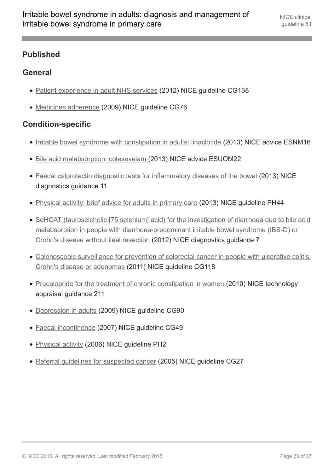#### **Published**

#### **General**

- [Patient experience in adult NHS services](http://guidance.nice.org.uk/cg138) (2012) NICE guideline CG138
- [Medicines adherence](http://guidance.nice.org.uk/cg76) (2009) NICE guideline CG76

#### **Condition-specific**

- [Irritable bowel syndrome with constipation in adults: linaclotide](http://www.nice.org.uk/advice/esnm16) (2013) NICE advice ESNM16
- [Bile acid malabsorption: colesevelam](http://www.nice.org.uk/advice/esuom22) (2013) NICE advice ESUOM22
- [Faecal calprotectin diagnostic tests for inflammatory diseases of the bowel](http://www.nice.org.uk/guidance/DG11) (2013) NICE diagnostics guidance 11
- [Physical activity: brief advice for adults in primary care](http://www.nice.org.uk/guidance/ph44) (2013) NICE guideline PH44
- [SeHCAT \(tauroselcholic \[75 selenium\] acid\) for the investigation of diarrhoea due to bile acid](http://www.nice.org.uk/guidance/DG7) [malabsorption in people with diarrhoea-predominant irritable bowel syndrome \(IBS-D\) or](http://www.nice.org.uk/guidance/DG7) [Crohn's disease without ileal resection](http://www.nice.org.uk/guidance/DG7) (2012) NICE diagnostics guidance 7
- [Colonoscopic surveillance for prevention of colorectal cancer in people with ulcerative colitis,](http://www.nice.org.uk/guidance/cg118) [Crohn's disease or adenomas](http://www.nice.org.uk/guidance/cg118) (2011) NICE guideline CG118
- [Prucalopride for the treatment of chronic constipation in women](http://www.nice.org.uk/guidance/ta211) (2010) NICE technology appraisal guidance 211
- [Depression in adults](http://www.nice.org.uk/guidance/CG90) (2009) NICE guideline CG90
- [Faecal incontinence](http://www.nice.org.uk/guidance/CG49) (2007) NICE guideline CG49
- [Physical activity](http://www.nice.org.uk/guidance/PH2) (2006) NICE guideline PH2
- Referral quidelines for suspected cancer (2005) NICE quideline CG27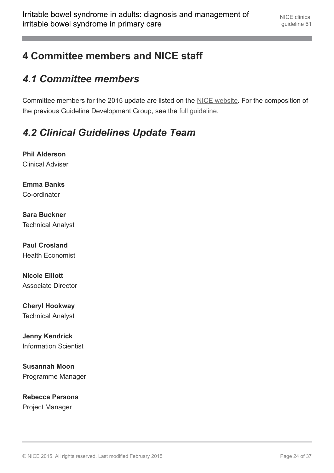# <span id="page-23-0"></span>**4 Committee members and NICE staff**

# <span id="page-23-1"></span>*4.1 Committee members*

Committee members for the 2015 update are listed on the [NICE website.](http://www.nice.org.uk/guidance/cg61/documents) For the composition of the previous Guideline Development Group, see the [full guideline](http://www.nice.org.uk/guidance/cg61/evidence).

# <span id="page-23-2"></span>*4.2 Clinical Guidelines Update Team*

**Phil Alderson** Clinical Adviser

**Emma Banks** Co-ordinator

**Sara Buckner** Technical Analyst

**Paul Crosland** Health Economist

**Nicole Elliott** Associate Director

**Cheryl Hookway** Technical Analyst

**Jenny Kendrick** Information Scientist

**Susannah Moon** Programme Manager

**Rebecca Parsons** Project Manager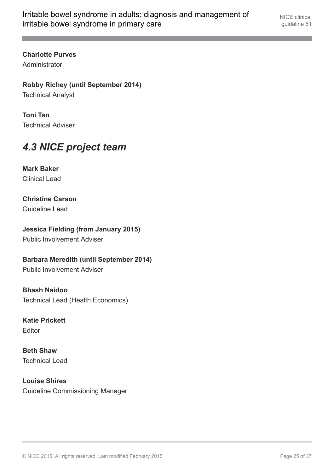**Charlotte Purves** Administrator

**Robby Richey (until September 2014)** Technical Analyst

**Toni Tan** Technical Adviser

# <span id="page-24-0"></span>*4.3 NICE project team*

**Mark Baker** Clinical Lead

**Christine Carson** Guideline Lead

**Jessica Fielding (from January 2015)**

Public Involvement Adviser

**Barbara Meredith (until September 2014)**

Public Involvement Adviser

**Bhash Naidoo** Technical Lead (Health Economics)

**Katie Prickett** Editor

**Beth Shaw** Technical Lead

**Louise Shires** Guideline Commissioning Manager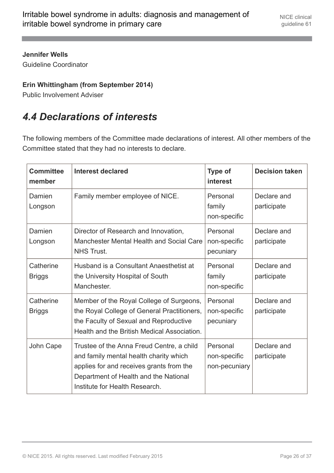#### **Jennifer Wells**

Guideline Coordinator

#### **Erin Whittingham (from September 2014)**

Public Involvement Adviser

# <span id="page-25-0"></span>*4.4 Declarations of interests*

The following members of the Committee made declarations of interest. All other members of the Committee stated that they had no interests to declare.

| <b>Committee</b><br>member | <b>Interest declared</b>                                                                                                                                                                                   | <b>Type of</b><br>interest                | <b>Decision taken</b>      |
|----------------------------|------------------------------------------------------------------------------------------------------------------------------------------------------------------------------------------------------------|-------------------------------------------|----------------------------|
| Damien<br>Longson          | Family member employee of NICE.                                                                                                                                                                            | Personal<br>family<br>non-specific        | Declare and<br>participate |
| Damien<br>Longson          | Director of Research and Innovation,<br>Manchester Mental Health and Social Care<br><b>NHS Trust.</b>                                                                                                      | Personal<br>non-specific<br>pecuniary     | Declare and<br>participate |
| Catherine<br><b>Briggs</b> | Husband is a Consultant Anaesthetist at<br>the University Hospital of South<br>Manchester.                                                                                                                 | Personal<br>family<br>non-specific        | Declare and<br>participate |
| Catherine<br><b>Briggs</b> | Member of the Royal College of Surgeons,<br>the Royal College of General Practitioners,<br>the Faculty of Sexual and Reproductive<br>Health and the British Medical Association.                           | Personal<br>non-specific<br>pecuniary     | Declare and<br>participate |
| John Cape                  | Trustee of the Anna Freud Centre, a child<br>and family mental health charity which<br>applies for and receives grants from the<br>Department of Health and the National<br>Institute for Health Research. | Personal<br>non-specific<br>non-pecuniary | Declare and<br>participate |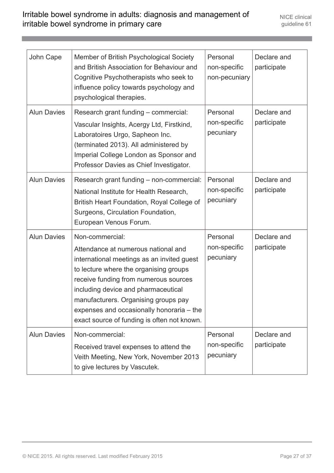| John Cape          | Member of British Psychological Society<br>and British Association for Behaviour and<br>Cognitive Psychotherapists who seek to<br>influence policy towards psychology and<br>psychological therapies.                                                                                                                                                              | Personal<br>non-specific<br>non-pecuniary | Declare and<br>participate |
|--------------------|--------------------------------------------------------------------------------------------------------------------------------------------------------------------------------------------------------------------------------------------------------------------------------------------------------------------------------------------------------------------|-------------------------------------------|----------------------------|
| <b>Alun Davies</b> | Research grant funding - commercial:<br>Vascular Insights, Acergy Ltd, Firstkind,<br>Laboratoires Urgo, Sapheon Inc.<br>(terminated 2013). All administered by<br>Imperial College London as Sponsor and<br>Professor Davies as Chief Investigator.                                                                                                                | Personal<br>non-specific<br>pecuniary     | Declare and<br>participate |
| <b>Alun Davies</b> | Research grant funding - non-commercial:<br>National Institute for Health Research,<br>British Heart Foundation, Royal College of<br>Surgeons, Circulation Foundation,<br>European Venous Forum.                                                                                                                                                                   | Personal<br>non-specific<br>pecuniary     | Declare and<br>participate |
| <b>Alun Davies</b> | Non-commercial:<br>Attendance at numerous national and<br>international meetings as an invited guest<br>to lecture where the organising groups<br>receive funding from numerous sources<br>including device and pharmaceutical<br>manufacturers. Organising groups pay<br>expenses and occasionally honoraria – the<br>exact source of funding is often not known. | Personal<br>non-specific<br>pecuniary     | Declare and<br>participate |
| <b>Alun Davies</b> | Non-commercial:<br>Received travel expenses to attend the<br>Veith Meeting, New York, November 2013<br>to give lectures by Vascutek.                                                                                                                                                                                                                               | Personal<br>non-specific<br>pecuniary     | Declare and<br>participate |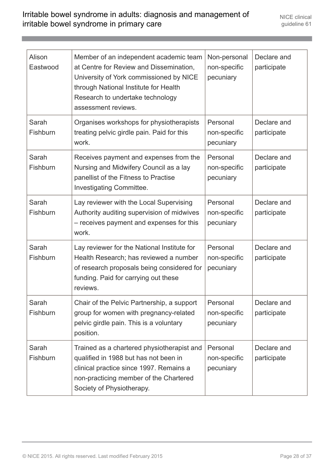| Alison<br>Eastwood | Member of an independent academic team<br>at Centre for Review and Dissemination,<br>University of York commissioned by NICE<br>through National Institute for Health<br>Research to undertake technology<br>assessment reviews. | Non-personal<br>non-specific<br>pecuniary | Declare and<br>participate |
|--------------------|----------------------------------------------------------------------------------------------------------------------------------------------------------------------------------------------------------------------------------|-------------------------------------------|----------------------------|
| Sarah<br>Fishburn  | Organises workshops for physiotherapists<br>treating pelvic girdle pain. Paid for this<br>work.                                                                                                                                  | Personal<br>non-specific<br>pecuniary     | Declare and<br>participate |
| Sarah<br>Fishburn  | Receives payment and expenses from the<br>Nursing and Midwifery Council as a lay<br>panellist of the Fitness to Practise<br><b>Investigating Committee.</b>                                                                      | Personal<br>non-specific<br>pecuniary     | Declare and<br>participate |
| Sarah<br>Fishburn  | Lay reviewer with the Local Supervising<br>Authority auditing supervision of midwives<br>- receives payment and expenses for this<br>work.                                                                                       | Personal<br>non-specific<br>pecuniary     | Declare and<br>participate |
| Sarah<br>Fishburn  | Lay reviewer for the National Institute for<br>Health Research; has reviewed a number<br>of research proposals being considered for<br>funding. Paid for carrying out these<br>reviews.                                          | Personal<br>non-specific<br>pecuniary     | Declare and<br>participate |
| Sarah<br>Fishburn  | Chair of the Pelvic Partnership, a support<br>group for women with pregnancy-related<br>pelvic girdle pain. This is a voluntary<br>position.                                                                                     | Personal<br>non-specific<br>pecuniary     | Declare and<br>participate |
| Sarah<br>Fishburn  | Trained as a chartered physiotherapist and<br>qualified in 1988 but has not been in<br>clinical practice since 1997. Remains a<br>non-practicing member of the Chartered<br>Society of Physiotherapy.                            | Personal<br>non-specific<br>pecuniary     | Declare and<br>participate |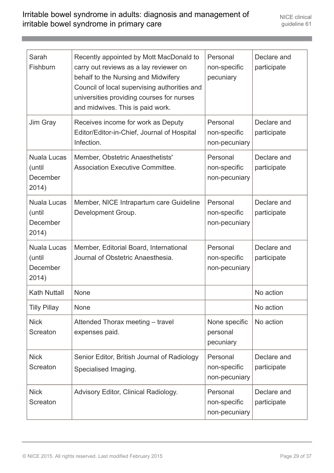| Sarah<br>Fishburn                                 | Recently appointed by Mott MacDonald to<br>carry out reviews as a lay reviewer on<br>behalf to the Nursing and Midwifery<br>Council of local supervising authorities and<br>universities providing courses for nurses<br>and midwives. This is paid work. | Personal<br>non-specific<br>pecuniary     | Declare and<br>participate |
|---------------------------------------------------|-----------------------------------------------------------------------------------------------------------------------------------------------------------------------------------------------------------------------------------------------------------|-------------------------------------------|----------------------------|
| Jim Gray                                          | Receives income for work as Deputy<br>Editor/Editor-in-Chief, Journal of Hospital<br>Infection.                                                                                                                                                           | Personal<br>non-specific<br>non-pecuniary | Declare and<br>participate |
| <b>Nuala Lucas</b><br>(until<br>December<br>2014) | Member, Obstetric Anaesthetists'<br><b>Association Executive Committee.</b>                                                                                                                                                                               | Personal<br>non-specific<br>non-pecuniary | Declare and<br>participate |
| <b>Nuala Lucas</b><br>(until<br>December<br>2014) | Member, NICE Intrapartum care Guideline<br>Development Group.                                                                                                                                                                                             | Personal<br>non-specific<br>non-pecuniary | Declare and<br>participate |
| <b>Nuala Lucas</b><br>(until<br>December<br>2014) | Member, Editorial Board, International<br>Journal of Obstetric Anaesthesia.                                                                                                                                                                               | Personal<br>non-specific<br>non-pecuniary | Declare and<br>participate |
| <b>Kath Nuttall</b>                               | <b>None</b>                                                                                                                                                                                                                                               |                                           | No action                  |
| <b>Tilly Pillay</b>                               | <b>None</b>                                                                                                                                                                                                                                               |                                           | No action                  |
| <b>Nick</b><br>Screaton                           | Attended Thorax meeting - travel<br>expenses paid.                                                                                                                                                                                                        | None specific<br>personal<br>pecuniary    | No action                  |
| <b>Nick</b><br>Screaton                           | Senior Editor, British Journal of Radiology<br>Specialised Imaging.                                                                                                                                                                                       | Personal<br>non-specific<br>non-pecuniary | Declare and<br>participate |
| <b>Nick</b><br>Screaton                           | Advisory Editor, Clinical Radiology.                                                                                                                                                                                                                      | Personal<br>non-specific<br>non-pecuniary | Declare and<br>participate |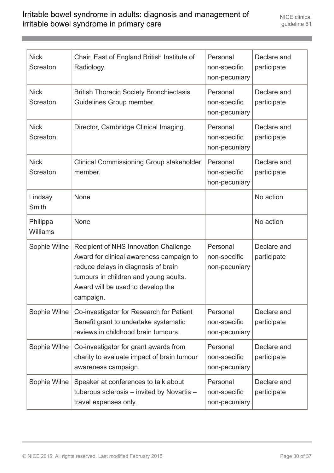| <b>Nick</b><br>Screaton     | Chair, East of England British Institute of<br>Radiology.                                                                                                                                                           | Personal<br>non-specific<br>non-pecuniary | Declare and<br>participate |
|-----------------------------|---------------------------------------------------------------------------------------------------------------------------------------------------------------------------------------------------------------------|-------------------------------------------|----------------------------|
| <b>Nick</b><br>Screaton     | <b>British Thoracic Society Bronchiectasis</b><br>Guidelines Group member.                                                                                                                                          | Personal<br>non-specific<br>non-pecuniary | Declare and<br>participate |
| <b>Nick</b><br>Screaton     | Director, Cambridge Clinical Imaging.                                                                                                                                                                               | Personal<br>non-specific<br>non-pecuniary | Declare and<br>participate |
| <b>Nick</b><br>Screaton     | <b>Clinical Commissioning Group stakeholder</b><br>member.                                                                                                                                                          | Personal<br>non-specific<br>non-pecuniary | Declare and<br>participate |
| Lindsay<br>Smith            | None                                                                                                                                                                                                                |                                           | No action                  |
| Philippa<br><b>Williams</b> | <b>None</b>                                                                                                                                                                                                         |                                           | No action                  |
| Sophie Wilne                | Recipient of NHS Innovation Challenge<br>Award for clinical awareness campaign to<br>reduce delays in diagnosis of brain<br>tumours in children and young adults.<br>Award will be used to develop the<br>campaign. | Personal<br>non-specific<br>non-pecuniary | Declare and<br>participate |
| Sophie Wilne                | Co-investigator for Research for Patient<br>Benefit grant to undertake systematic<br>reviews in childhood brain tumours.                                                                                            | Personal<br>non-specific<br>non-pecuniary | Declare and<br>participate |
| Sophie Wilne                | Co-investigator for grant awards from<br>charity to evaluate impact of brain tumour<br>awareness campaign.                                                                                                          | Personal<br>non-specific<br>non-pecuniary | Declare and<br>participate |
| Sophie Wilne                | Speaker at conferences to talk about<br>tuberous sclerosis – invited by Novartis –<br>travel expenses only.                                                                                                         | Personal<br>non-specific<br>non-pecuniary | Declare and<br>participate |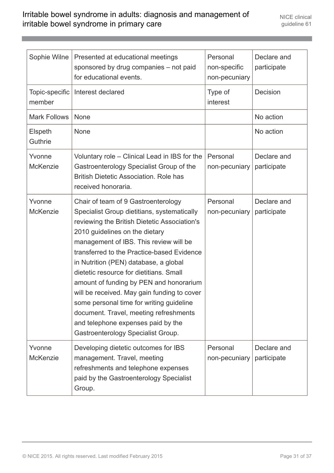| Sophie Wilne              | Presented at educational meetings<br>sponsored by drug companies - not paid<br>for educational events.                                                                                                                                                                                                                                                                                                                                                                                                                                                                                                       | Personal<br>non-specific<br>non-pecuniary | Declare and<br>participate |
|---------------------------|--------------------------------------------------------------------------------------------------------------------------------------------------------------------------------------------------------------------------------------------------------------------------------------------------------------------------------------------------------------------------------------------------------------------------------------------------------------------------------------------------------------------------------------------------------------------------------------------------------------|-------------------------------------------|----------------------------|
| Topic-specific<br>member  | Interest declared                                                                                                                                                                                                                                                                                                                                                                                                                                                                                                                                                                                            | Type of<br>interest                       | Decision                   |
| <b>Mark Follows</b>       | None                                                                                                                                                                                                                                                                                                                                                                                                                                                                                                                                                                                                         |                                           | No action                  |
| Elspeth<br>Guthrie        | <b>None</b>                                                                                                                                                                                                                                                                                                                                                                                                                                                                                                                                                                                                  |                                           | No action                  |
| Yvonne<br><b>McKenzie</b> | Voluntary role – Clinical Lead in IBS for the<br>Gastroenterology Specialist Group of the<br><b>British Dietetic Association. Role has</b><br>received honoraria.                                                                                                                                                                                                                                                                                                                                                                                                                                            | Personal<br>non-pecuniary                 | Declare and<br>participate |
| Yvonne<br><b>McKenzie</b> | Chair of team of 9 Gastroenterology<br>Specialist Group dietitians, systematically<br>reviewing the British Dietetic Association's<br>2010 guidelines on the dietary<br>management of IBS. This review will be<br>transferred to the Practice-based Evidence<br>in Nutrition (PEN) database, a global<br>dietetic resource for dietitians. Small<br>amount of funding by PEN and honorarium<br>will be received. May gain funding to cover<br>some personal time for writing guideline<br>document. Travel, meeting refreshments<br>and telephone expenses paid by the<br>Gastroenterology Specialist Group. | Personal<br>non-pecuniary                 | Declare and<br>participate |
| Yvonne<br><b>McKenzie</b> | Developing dietetic outcomes for IBS<br>management. Travel, meeting<br>refreshments and telephone expenses<br>paid by the Gastroenterology Specialist<br>Group.                                                                                                                                                                                                                                                                                                                                                                                                                                              | Personal<br>non-pecuniary                 | Declare and<br>participate |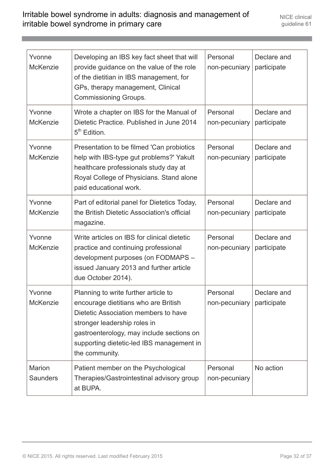| Yvonne<br><b>McKenzie</b>        | Developing an IBS key fact sheet that will<br>provide guidance on the value of the role<br>of the dietitian in IBS management, for<br>GPs, therapy management, Clinical<br><b>Commissioning Groups.</b>                                                          | Personal<br>non-pecuniary | Declare and<br>participate |
|----------------------------------|------------------------------------------------------------------------------------------------------------------------------------------------------------------------------------------------------------------------------------------------------------------|---------------------------|----------------------------|
| Yvonne<br><b>McKenzie</b>        | Wrote a chapter on IBS for the Manual of<br>Dietetic Practice. Published in June 2014<br>5 <sup>th</sup> Edition.                                                                                                                                                | Personal<br>non-pecuniary | Declare and<br>participate |
| Yvonne<br><b>McKenzie</b>        | Presentation to be filmed 'Can probiotics<br>help with IBS-type gut problems?' Yakult<br>healthcare professionals study day at<br>Royal College of Physicians. Stand alone<br>paid educational work.                                                             | Personal<br>non-pecuniary | Declare and<br>participate |
| Yvonne<br><b>McKenzie</b>        | Part of editorial panel for Dietetics Today,<br>the British Dietetic Association's official<br>magazine.                                                                                                                                                         | Personal<br>non-pecuniary | Declare and<br>participate |
| Yvonne<br><b>McKenzie</b>        | Write articles on IBS for clinical dietetic<br>practice and continuing professional<br>development purposes (on FODMAPS -<br>issued January 2013 and further article<br>due October 2014).                                                                       | Personal<br>non-pecuniary | Declare and<br>participate |
| Yvonne<br><b>McKenzie</b>        | Planning to write further article to<br>encourage dietitians who are British<br>Dietetic Association members to have<br>stronger leadership roles in<br>gastroenterology, may include sections on<br>supporting dietetic-led IBS management in<br>the community. | Personal<br>non-pecuniary | Declare and<br>participate |
| <b>Marion</b><br><b>Saunders</b> | Patient member on the Psychological<br>Therapies/Gastrointestinal advisory group<br>at BUPA.                                                                                                                                                                     | Personal<br>non-pecuniary | No action                  |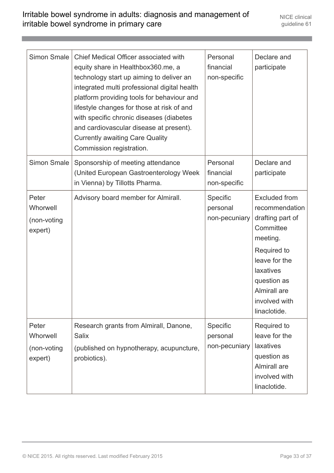| <b>Simon Smale</b>                          | Chief Medical Officer associated with<br>equity share in Healthbox360.me, a<br>technology start up aiming to deliver an<br>integrated multi professional digital health<br>platform providing tools for behaviour and<br>lifestyle changes for those at risk of and<br>with specific chronic diseases (diabetes<br>and cardiovascular disease at present).<br><b>Currently awaiting Care Quality</b><br>Commission registration. | Personal<br>financial<br>non-specific | Declare and<br>participate                                                                                                                                                                       |
|---------------------------------------------|----------------------------------------------------------------------------------------------------------------------------------------------------------------------------------------------------------------------------------------------------------------------------------------------------------------------------------------------------------------------------------------------------------------------------------|---------------------------------------|--------------------------------------------------------------------------------------------------------------------------------------------------------------------------------------------------|
| <b>Simon Smale</b>                          | Sponsorship of meeting attendance<br>(United European Gastroenterology Week)<br>in Vienna) by Tillotts Pharma.                                                                                                                                                                                                                                                                                                                   | Personal<br>financial<br>non-specific | Declare and<br>participate                                                                                                                                                                       |
| Peter<br>Whorwell<br>(non-voting<br>expert) | Advisory board member for Almirall.                                                                                                                                                                                                                                                                                                                                                                                              | Specific<br>personal<br>non-pecuniary | <b>Excluded from</b><br>recommendation<br>drafting part of<br>Committee<br>meeting.<br>Required to<br>leave for the<br>laxatives<br>question as<br>Almirall are<br>involved with<br>linaclotide. |
| Peter<br>Whorwell<br>(non-voting<br>expert) | Research grants from Almirall, Danone,<br><b>Salix</b><br>(published on hypnotherapy, acupuncture,<br>probiotics).                                                                                                                                                                                                                                                                                                               | Specific<br>personal<br>non-pecuniary | Required to<br>leave for the<br>laxatives<br>question as<br>Almirall are<br>involved with<br>linaclotide.                                                                                        |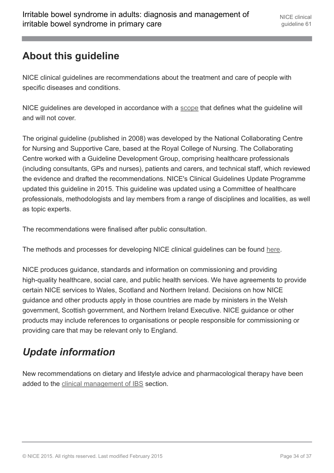# <span id="page-33-0"></span>**About this guideline**

NICE clinical guidelines are recommendations about the treatment and care of people with specific diseases and conditions.

NICE guidelines are developed in accordance with a [scope](http://www.nice.org.uk/Guidance/CG61/documents) that defines what the guideline will and will not cover.

The original guideline (published in 2008) was developed by the National Collaborating Centre for Nursing and Supportive Care, based at the Royal College of Nursing. The Collaborating Centre worked with a Guideline Development Group, comprising healthcare professionals (including consultants, GPs and nurses), patients and carers, and technical staff, which reviewed the evidence and drafted the recommendations. NICE's Clinical Guidelines Update Programme updated this guideline in 2015. This guideline was updated using a Committee of healthcare professionals, methodologists and lay members from a range of disciplines and localities, as well as topic experts.

The recommendations were finalised after public consultation.

The methods and processes for developing NICE clinical guidelines can be found [here.](http://www.nice.org.uk/About/What-we-do/Our-Programmes/NICE-guidance/NICE-guidelines/NICE-clinical-guidelines)

NICE produces guidance, standards and information on commissioning and providing high-quality healthcare, social care, and public health services. We have agreements to provide certain NICE services to Wales, Scotland and Northern Ireland. Decisions on how NICE guidance and other products apply in those countries are made by ministers in the Welsh government, Scottish government, and Northern Ireland Executive. NICE guidance or other products may include references to organisations or people responsible for commissioning or providing care that may be relevant only to England.

# <span id="page-33-1"></span>*Update information*

New recommendations on dietary and lifestyle advice and pharmacological therapy have been added to the [clinical management of IBS](http://publications.nice.org.uk/irritable-bowel-syndrome-in-adults-diagnosis-and-management-of-irritable-bowel-syndrome-in-primary-cg61/recommendations#clinical-management-of-ibs) section.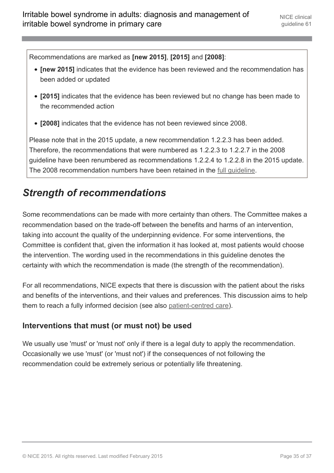Recommendations are marked as **[new 2015]**, **[2015]** and **[2008]**:

- **[new 2015]** indicates that the evidence has been reviewed and the recommendation has been added or updated
- **[2015]** indicates that the evidence has been reviewed but no change has been made to the recommended action
- **[2008]** indicates that the evidence has not been reviewed since 2008.

Please note that in the 2015 update, a new recommendation 1.2.2.3 has been added. Therefore, the recommendations that were numbered as 1.2.2.3 to 1.2.2.7 in the 2008 guideline have been renumbered as recommendations 1.2.2.4 to 1.2.2.8 in the 2015 update. The 2008 recommendation numbers have been retained in the [full guideline](http://www.nice.org.uk/guidance/cg61/evidence).

# <span id="page-34-0"></span>*Strength of recommendations*

Some recommendations can be made with more certainty than others. The Committee makes a recommendation based on the trade-off between the benefits and harms of an intervention, taking into account the quality of the underpinning evidence. For some interventions, the Committee is confident that, given the information it has looked at, most patients would choose the intervention. The wording used in the recommendations in this guideline denotes the certainty with which the recommendation is made (the strength of the recommendation).

For all recommendations, NICE expects that there is discussion with the patient about the risks and benefits of the interventions, and their values and preferences. This discussion aims to help them to reach a fully informed decision (see also [patient-centred care\)](http://publications.nice.org.uk/irritable-bowel-syndrome-in-adults-diagnosis-and-management-of-irritable-bowel-syndrome-in-primary-cg61/patient-centred-care).

#### **Interventions that must (or must not) be used**

We usually use 'must' or 'must not' only if there is a legal duty to apply the recommendation. Occasionally we use 'must' (or 'must not') if the consequences of not following the recommendation could be extremely serious or potentially life threatening.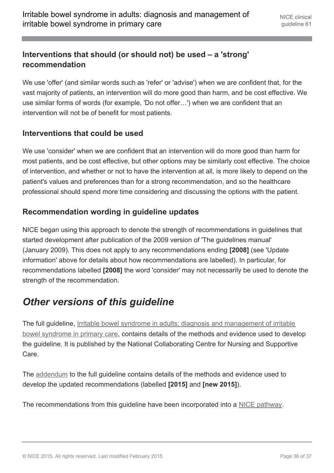#### **Interventions that should (or should not) be used – a 'strong' recommendation**

We use 'offer' (and similar words such as 'refer' or 'advise') when we are confident that, for the vast majority of patients, an intervention will do more good than harm, and be cost effective. We use similar forms of words (for example, 'Do not offer…') when we are confident that an intervention will not be of benefit for most patients.

#### **Interventions that could be used**

We use 'consider' when we are confident that an intervention will do more good than harm for most patients, and be cost effective, but other options may be similarly cost effective. The choice of intervention, and whether or not to have the intervention at all, is more likely to depend on the patient's values and preferences than for a strong recommendation, and so the healthcare professional should spend more time considering and discussing the options with the patient.

#### **Recommendation wording in guideline updates**

NICE began using this approach to denote the strength of recommendations in guidelines that started development after publication of the 2009 version of 'The guidelines manual' (January 2009). This does not apply to any recommendations ending **[2008]** (see 'Update information' above for details about how recommendations are labelled). In particular, for recommendations labelled **[2008]** the word 'consider' may not necessarily be used to denote the strength of the recommendation.

# <span id="page-35-0"></span>*Other versions of this guideline*

The full guideline, [Irritable bowel syndrome in adults: diagnosis and management of irritable](http://www.nice.org.uk/guidance/CG61/evidence) [bowel syndrome in primary care](http://www.nice.org.uk/guidance/CG61/evidence), contains details of the methods and evidence used to develop the guideline. It is published by the National Collaborating Centre for Nursing and Supportive Care.

The [addendum](http://www.nice.org.uk/Guidance/CG61/Evidence) to the full guideline contains details of the methods and evidence used to develop the updated recommendations (labelled **[2015]** and **[new 2015]**).

The recommendations from this guideline have been incorporated into a [NICE pathway](http://pathways.nice.org.uk/pathways/irritable-bowel-syndrome-in-adults).